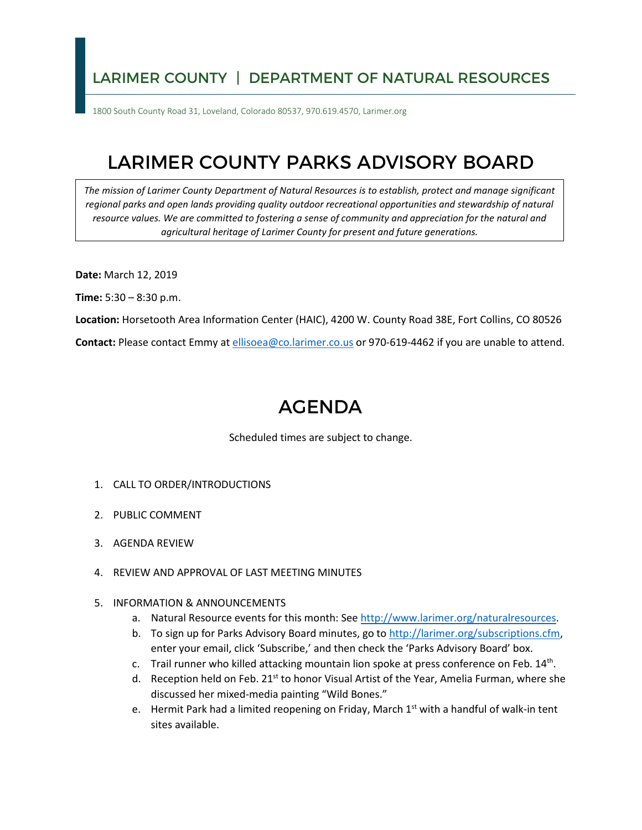## LARIMER COUNTY | DEPARTMENT OF NATURAL RESOURCES

1800 South County Road 31, Loveland, Colorado 80537, 970.619.4570, Larimer.org

## LARIMER COUNTY PARKS ADVISORY BOARD

*The mission of Larimer County Department of Natural Resources is to establish, protect and manage significant regional parks and open lands providing quality outdoor recreational opportunities and stewardship of natural resource values. We are committed to fostering a sense of community and appreciation for the natural and agricultural heritage of Larimer County for present and future generations.* 

**Date:** March 12, 2019

**Time:** 5:30 – 8:30 p.m.

**Location:** Horsetooth Area Information Center (HAIC), 4200 W. County Road 38E, Fort Collins, CO 80526

**Contact:** Please contact Emmy at [ellisoea@co.larimer.co.us](mailto:ellisoea@co.larimer.co.us) or 970-619-4462 if you are unable to attend.

## AGENDA

Scheduled times are subject to change.

- 1. CALL TO ORDER/INTRODUCTIONS
- 2. PUBLIC COMMENT
- 3. AGENDA REVIEW
- 4. REVIEW AND APPROVAL OF LAST MEETING MINUTES

## 5. INFORMATION & ANNOUNCEMENTS

- a. Natural Resource events for this month: See [http://www.larimer.org/naturalresources.](http://www.larimer.org/naturalresources)
- b. To sign up for Parks Advisory Board minutes, go to [http://larimer.org/subscriptions.cfm,](http://larimer.org/subscriptions.cfm) enter your email, click 'Subscribe,' and then check the 'Parks Advisory Board' box.
- c. Trail runner who killed attacking mountain lion spoke at press conference on Feb. 14<sup>th</sup>.
- d. Reception held on Feb. 21<sup>st</sup> to honor Visual Artist of the Year, Amelia Furman, where she discussed her mixed-media painting "Wild Bones."
- e. Hermit Park had a limited reopening on Friday, March 1<sup>st</sup> with a handful of walk-in tent sites available.